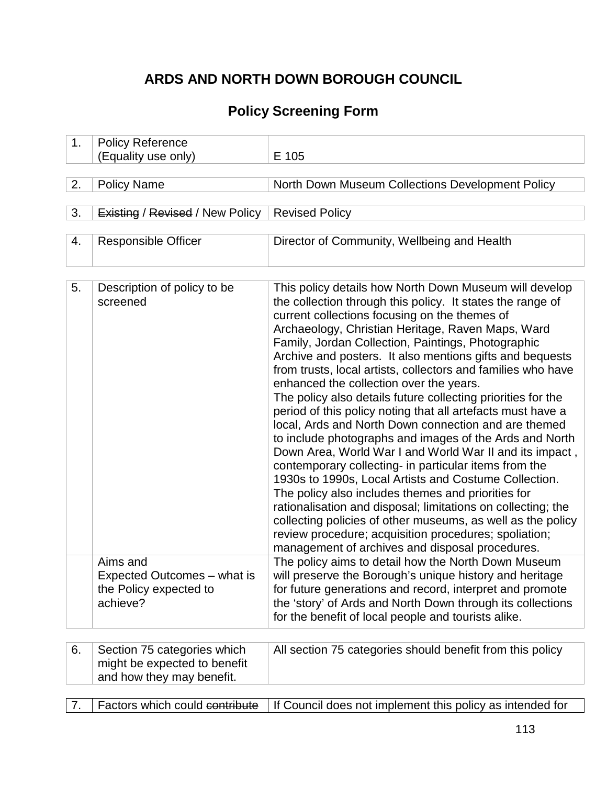# **ARDS AND NORTH DOWN BOROUGH COUNCIL**

# **Policy Screening Form**

| 1. | <b>Policy Reference</b>                                                       |                                                                                                                                                                                                                                                                                                                                                                                                                                                                                                                                                                                                                                                                                                                                                                                                                                                                                                                                                                                                                                                                                                                                                                                         |
|----|-------------------------------------------------------------------------------|-----------------------------------------------------------------------------------------------------------------------------------------------------------------------------------------------------------------------------------------------------------------------------------------------------------------------------------------------------------------------------------------------------------------------------------------------------------------------------------------------------------------------------------------------------------------------------------------------------------------------------------------------------------------------------------------------------------------------------------------------------------------------------------------------------------------------------------------------------------------------------------------------------------------------------------------------------------------------------------------------------------------------------------------------------------------------------------------------------------------------------------------------------------------------------------------|
|    | (Equality use only)                                                           | E 105                                                                                                                                                                                                                                                                                                                                                                                                                                                                                                                                                                                                                                                                                                                                                                                                                                                                                                                                                                                                                                                                                                                                                                                   |
|    |                                                                               |                                                                                                                                                                                                                                                                                                                                                                                                                                                                                                                                                                                                                                                                                                                                                                                                                                                                                                                                                                                                                                                                                                                                                                                         |
| 2. | <b>Policy Name</b>                                                            | North Down Museum Collections Development Policy                                                                                                                                                                                                                                                                                                                                                                                                                                                                                                                                                                                                                                                                                                                                                                                                                                                                                                                                                                                                                                                                                                                                        |
|    |                                                                               |                                                                                                                                                                                                                                                                                                                                                                                                                                                                                                                                                                                                                                                                                                                                                                                                                                                                                                                                                                                                                                                                                                                                                                                         |
| 3. | <b>Existing / Revised / New Policy</b>                                        | <b>Revised Policy</b>                                                                                                                                                                                                                                                                                                                                                                                                                                                                                                                                                                                                                                                                                                                                                                                                                                                                                                                                                                                                                                                                                                                                                                   |
|    |                                                                               |                                                                                                                                                                                                                                                                                                                                                                                                                                                                                                                                                                                                                                                                                                                                                                                                                                                                                                                                                                                                                                                                                                                                                                                         |
| 4. | <b>Responsible Officer</b>                                                    | Director of Community, Wellbeing and Health                                                                                                                                                                                                                                                                                                                                                                                                                                                                                                                                                                                                                                                                                                                                                                                                                                                                                                                                                                                                                                                                                                                                             |
|    |                                                                               |                                                                                                                                                                                                                                                                                                                                                                                                                                                                                                                                                                                                                                                                                                                                                                                                                                                                                                                                                                                                                                                                                                                                                                                         |
|    |                                                                               |                                                                                                                                                                                                                                                                                                                                                                                                                                                                                                                                                                                                                                                                                                                                                                                                                                                                                                                                                                                                                                                                                                                                                                                         |
| 5. | Description of policy to be<br>screened                                       | This policy details how North Down Museum will develop<br>the collection through this policy. It states the range of<br>current collections focusing on the themes of<br>Archaeology, Christian Heritage, Raven Maps, Ward<br>Family, Jordan Collection, Paintings, Photographic<br>Archive and posters. It also mentions gifts and bequests<br>from trusts, local artists, collectors and families who have<br>enhanced the collection over the years.<br>The policy also details future collecting priorities for the<br>period of this policy noting that all artefacts must have a<br>local, Ards and North Down connection and are themed<br>to include photographs and images of the Ards and North<br>Down Area, World War I and World War II and its impact,<br>contemporary collecting- in particular items from the<br>1930s to 1990s, Local Artists and Costume Collection.<br>The policy also includes themes and priorities for<br>rationalisation and disposal; limitations on collecting; the<br>collecting policies of other museums, as well as the policy<br>review procedure; acquisition procedures; spoliation;<br>management of archives and disposal procedures. |
|    | Aims and<br>Expected Outcomes – what is<br>the Policy expected to<br>achieve? | The policy aims to detail how the North Down Museum<br>will preserve the Borough's unique history and heritage<br>for future generations and record, interpret and promote<br>the 'story' of Ards and North Down through its collections<br>for the benefit of local people and tourists alike.                                                                                                                                                                                                                                                                                                                                                                                                                                                                                                                                                                                                                                                                                                                                                                                                                                                                                         |
|    |                                                                               |                                                                                                                                                                                                                                                                                                                                                                                                                                                                                                                                                                                                                                                                                                                                                                                                                                                                                                                                                                                                                                                                                                                                                                                         |
| 6. | Section 75 categories which                                                   | All section 75 categories should benefit from this policy                                                                                                                                                                                                                                                                                                                                                                                                                                                                                                                                                                                                                                                                                                                                                                                                                                                                                                                                                                                                                                                                                                                               |
|    | might be expected to benefit<br>and how they may benefit.                     |                                                                                                                                                                                                                                                                                                                                                                                                                                                                                                                                                                                                                                                                                                                                                                                                                                                                                                                                                                                                                                                                                                                                                                                         |
|    |                                                                               |                                                                                                                                                                                                                                                                                                                                                                                                                                                                                                                                                                                                                                                                                                                                                                                                                                                                                                                                                                                                                                                                                                                                                                                         |
| 7. | Factors which could contribute                                                | If Council does not implement this policy as intended for                                                                                                                                                                                                                                                                                                                                                                                                                                                                                                                                                                                                                                                                                                                                                                                                                                                                                                                                                                                                                                                                                                                               |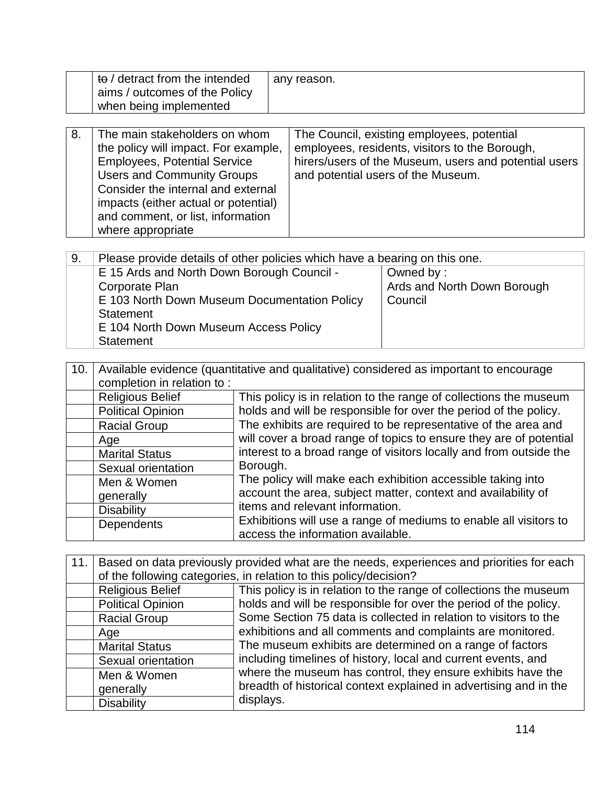| to / detract from the intended | any reason. |
|--------------------------------|-------------|
| aims / outcomes of the Policy  |             |
| when being implemented         |             |

| 8. | The main stakeholders on whom        | The Council, existing employees, potential            |
|----|--------------------------------------|-------------------------------------------------------|
|    | the policy will impact. For example, | employees, residents, visitors to the Borough,        |
|    | <b>Employees, Potential Service</b>  | hirers/users of the Museum, users and potential users |
|    | <b>Users and Community Groups</b>    | and potential users of the Museum.                    |
|    | Consider the internal and external   |                                                       |
|    | impacts (either actual or potential) |                                                       |
|    | and comment, or list, information    |                                                       |
|    | where appropriate                    |                                                       |

| 9.                                    | Please provide details of other policies which have a bearing on this one. |                             |  |
|---------------------------------------|----------------------------------------------------------------------------|-----------------------------|--|
|                                       | E 15 Ards and North Down Borough Council -<br>Owned by:                    |                             |  |
|                                       | Corporate Plan                                                             | Ards and North Down Borough |  |
|                                       | E 103 North Down Museum Documentation Policy                               | Council                     |  |
|                                       | Statement                                                                  |                             |  |
| E 104 North Down Museum Access Policy |                                                                            |                             |  |
|                                       | <b>Statement</b>                                                           |                             |  |

| 10. | Available evidence (quantitative and qualitative) considered as important to encourage<br>completion in relation to: |                                                                                                        |  |
|-----|----------------------------------------------------------------------------------------------------------------------|--------------------------------------------------------------------------------------------------------|--|
|     | <b>Religious Belief</b>                                                                                              | This policy is in relation to the range of collections the museum                                      |  |
|     | <b>Political Opinion</b>                                                                                             | holds and will be responsible for over the period of the policy.                                       |  |
|     | <b>Racial Group</b>                                                                                                  | The exhibits are required to be representative of the area and                                         |  |
|     | Age                                                                                                                  | will cover a broad range of topics to ensure they are of potential                                     |  |
|     | <b>Marital Status</b>                                                                                                | interest to a broad range of visitors locally and from outside the                                     |  |
|     | Sexual orientation                                                                                                   | Borough.                                                                                               |  |
|     | Men & Women                                                                                                          | The policy will make each exhibition accessible taking into                                            |  |
|     | generally                                                                                                            | account the area, subject matter, context and availability of                                          |  |
|     | <b>Disability</b>                                                                                                    | items and relevant information.                                                                        |  |
|     | Dependents                                                                                                           | Exhibitions will use a range of mediums to enable all visitors to<br>access the information available. |  |

| 11. | Based on data previously provided what are the needs, experiences and priorities for each |                                                                                                                                                                                                                |  |
|-----|-------------------------------------------------------------------------------------------|----------------------------------------------------------------------------------------------------------------------------------------------------------------------------------------------------------------|--|
|     | of the following categories, in relation to this policy/decision?                         |                                                                                                                                                                                                                |  |
|     | <b>Religious Belief</b>                                                                   | This policy is in relation to the range of collections the museum                                                                                                                                              |  |
|     | <b>Political Opinion</b>                                                                  | holds and will be responsible for over the period of the policy.                                                                                                                                               |  |
|     | <b>Racial Group</b>                                                                       | Some Section 75 data is collected in relation to visitors to the<br>exhibitions and all comments and complaints are monitored.                                                                                 |  |
|     | Age                                                                                       |                                                                                                                                                                                                                |  |
|     | <b>Marital Status</b>                                                                     | The museum exhibits are determined on a range of factors                                                                                                                                                       |  |
|     | Sexual orientation                                                                        | including timelines of history, local and current events, and<br>where the museum has control, they ensure exhibits have the<br>breadth of historical context explained in advertising and in the<br>displays. |  |
|     | Men & Women                                                                               |                                                                                                                                                                                                                |  |
|     | generally                                                                                 |                                                                                                                                                                                                                |  |
|     | <b>Disability</b>                                                                         |                                                                                                                                                                                                                |  |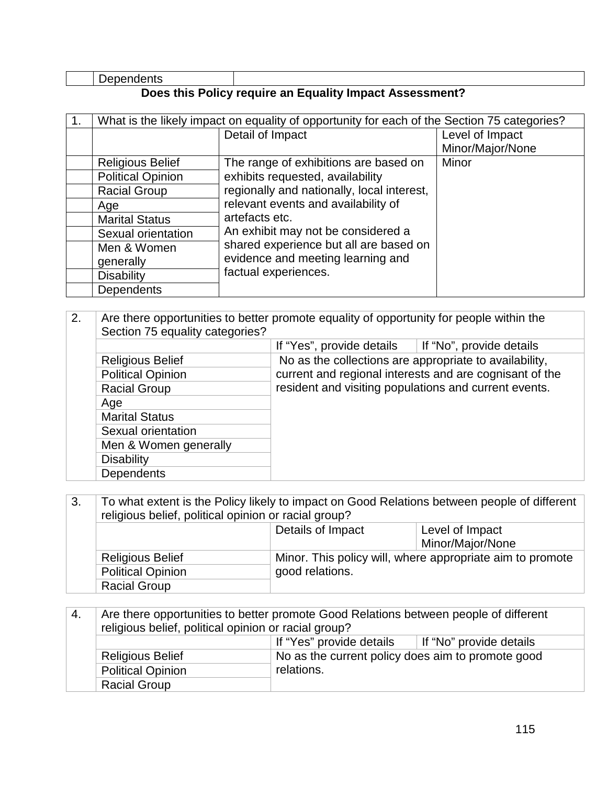| Dependents |
|------------|
|------------|

### **Does this Policy require an Equality Impact Assessment?**

| What is the likely impact on equality of opportunity for each of the Section 75 categories? |                                            |                  |
|---------------------------------------------------------------------------------------------|--------------------------------------------|------------------|
|                                                                                             | Detail of Impact                           | Level of Impact  |
|                                                                                             |                                            | Minor/Major/None |
| <b>Religious Belief</b>                                                                     | The range of exhibitions are based on      | Minor            |
| <b>Political Opinion</b>                                                                    | exhibits requested, availability           |                  |
| <b>Racial Group</b>                                                                         | regionally and nationally, local interest, |                  |
| Age                                                                                         | relevant events and availability of        |                  |
| <b>Marital Status</b>                                                                       | artefacts etc.                             |                  |
| Sexual orientation                                                                          | An exhibit may not be considered a         |                  |
| Men & Women                                                                                 | shared experience but all are based on     |                  |
| generally                                                                                   | evidence and meeting learning and          |                  |
| <b>Disability</b>                                                                           | factual experiences.                       |                  |
| <b>Dependents</b>                                                                           |                                            |                  |

| 2.<br>Are there opportunities to better promote equality of opportunity for people within the<br>Section 75 equality categories? |                          |                                                        |                                                         |
|----------------------------------------------------------------------------------------------------------------------------------|--------------------------|--------------------------------------------------------|---------------------------------------------------------|
|                                                                                                                                  |                          | If "Yes", provide details                              | If "No", provide details                                |
|                                                                                                                                  | <b>Religious Belief</b>  | No as the collections are appropriate to availability, |                                                         |
|                                                                                                                                  | <b>Political Opinion</b> |                                                        | current and regional interests and are cognisant of the |
|                                                                                                                                  | <b>Racial Group</b>      | resident and visiting populations and current events.  |                                                         |
|                                                                                                                                  | Age                      |                                                        |                                                         |
|                                                                                                                                  | <b>Marital Status</b>    |                                                        |                                                         |
|                                                                                                                                  | Sexual orientation       |                                                        |                                                         |
|                                                                                                                                  | Men & Women generally    |                                                        |                                                         |
|                                                                                                                                  | <b>Disability</b>        |                                                        |                                                         |
|                                                                                                                                  | <b>Dependents</b>        |                                                        |                                                         |

| 3.                | To what extent is the Policy likely to impact on Good Relations between people of different<br>religious belief, political opinion or racial group? |                 |                                                           |
|-------------------|-----------------------------------------------------------------------------------------------------------------------------------------------------|-----------------|-----------------------------------------------------------|
| Details of Impact |                                                                                                                                                     | Level of Impact |                                                           |
|                   |                                                                                                                                                     |                 | Minor/Major/None                                          |
|                   | <b>Religious Belief</b>                                                                                                                             |                 | Minor. This policy will, where appropriate aim to promote |
|                   | <b>Political Opinion</b>                                                                                                                            | good relations. |                                                           |
|                   | <b>Racial Group</b>                                                                                                                                 |                 |                                                           |

| -4. | Are there opportunities to better promote Good Relations between people of different<br>religious belief, political opinion or racial group? |                                                                 |  |
|-----|----------------------------------------------------------------------------------------------------------------------------------------------|-----------------------------------------------------------------|--|
|     | If "Yes" provide details<br>If "No" provide details                                                                                          |                                                                 |  |
|     | <b>Religious Belief</b>                                                                                                                      | No as the current policy does aim to promote good<br>relations. |  |
|     | <b>Political Opinion</b>                                                                                                                     |                                                                 |  |
|     | <b>Racial Group</b>                                                                                                                          |                                                                 |  |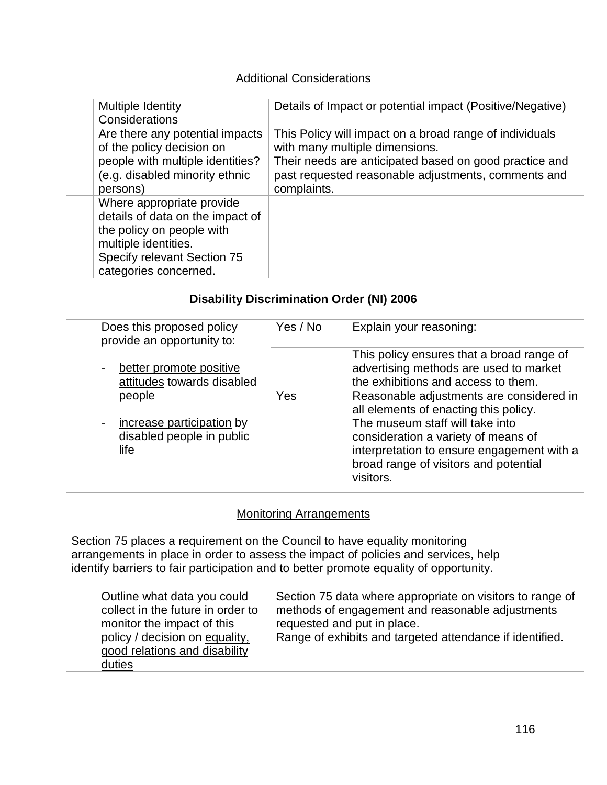# Additional Considerations

| Multiple Identity<br>Considerations                                                                                                                                        | Details of Impact or potential impact (Positive/Negative)                                                                                                                                                                 |
|----------------------------------------------------------------------------------------------------------------------------------------------------------------------------|---------------------------------------------------------------------------------------------------------------------------------------------------------------------------------------------------------------------------|
| Are there any potential impacts<br>of the policy decision on<br>people with multiple identities?<br>(e.g. disabled minority ethnic<br>persons)                             | This Policy will impact on a broad range of individuals<br>with many multiple dimensions.<br>Their needs are anticipated based on good practice and<br>past requested reasonable adjustments, comments and<br>complaints. |
| Where appropriate provide<br>details of data on the impact of<br>the policy on people with<br>multiple identities.<br>Specify relevant Section 75<br>categories concerned. |                                                                                                                                                                                                                           |

# **Disability Discrimination Order (NI) 2006**

| Does this proposed policy<br>provide an opportunity to:                                                                                                               | Yes / No | Explain your reasoning:                                                                                                                                                                                                                                                                                                                                                                       |
|-----------------------------------------------------------------------------------------------------------------------------------------------------------------------|----------|-----------------------------------------------------------------------------------------------------------------------------------------------------------------------------------------------------------------------------------------------------------------------------------------------------------------------------------------------------------------------------------------------|
| better promote positive<br>$\blacksquare$<br>attitudes towards disabled<br>people<br>increase participation by<br>$\blacksquare$<br>disabled people in public<br>life | Yes      | This policy ensures that a broad range of<br>advertising methods are used to market<br>the exhibitions and access to them.<br>Reasonable adjustments are considered in<br>all elements of enacting this policy.<br>The museum staff will take into<br>consideration a variety of means of<br>interpretation to ensure engagement with a<br>broad range of visitors and potential<br>visitors. |

## **Monitoring Arrangements**

Section 75 places a requirement on the Council to have equality monitoring arrangements in place in order to assess the impact of policies and services, help identify barriers to fair participation and to better promote equality of opportunity.

| Outline what data you could<br>Section 75 data where appropriate on visitors to range of<br>collect in the future in order to<br>methods of engagement and reasonable adjustments<br>monitor the impact of this<br>requested and put in place.<br>policy / decision on equality,<br>Range of exhibits and targeted attendance if identified.<br>good relations and disability |
|-------------------------------------------------------------------------------------------------------------------------------------------------------------------------------------------------------------------------------------------------------------------------------------------------------------------------------------------------------------------------------|
| duties                                                                                                                                                                                                                                                                                                                                                                        |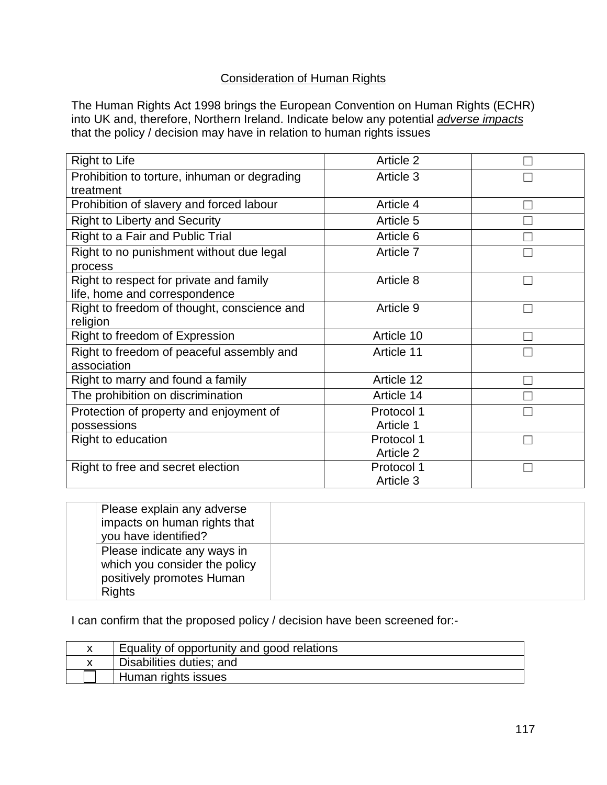## Consideration of Human Rights

The Human Rights Act 1998 brings the European Convention on Human Rights (ECHR) into UK and, therefore, Northern Ireland. Indicate below any potential *adverse impacts* that the policy / decision may have in relation to human rights issues

| <b>Right to Life</b>                         | Article 2  |  |
|----------------------------------------------|------------|--|
| Prohibition to torture, inhuman or degrading | Article 3  |  |
| treatment                                    |            |  |
| Prohibition of slavery and forced labour     | Article 4  |  |
| <b>Right to Liberty and Security</b>         | Article 5  |  |
| Right to a Fair and Public Trial             | Article 6  |  |
| Right to no punishment without due legal     | Article 7  |  |
| process                                      |            |  |
| Right to respect for private and family      | Article 8  |  |
| life, home and correspondence                |            |  |
| Right to freedom of thought, conscience and  | Article 9  |  |
| religion                                     |            |  |
| Right to freedom of Expression               | Article 10 |  |
| Right to freedom of peaceful assembly and    | Article 11 |  |
| association                                  |            |  |
| Right to marry and found a family            | Article 12 |  |
| The prohibition on discrimination            | Article 14 |  |
| Protection of property and enjoyment of      | Protocol 1 |  |
| possessions                                  | Article 1  |  |
| Right to education                           | Protocol 1 |  |
|                                              | Article 2  |  |
| Right to free and secret election            | Protocol 1 |  |
|                                              | Article 3  |  |

| Please explain any adverse<br>impacts on human rights that<br>you have identified?                         |  |
|------------------------------------------------------------------------------------------------------------|--|
| Please indicate any ways in<br>which you consider the policy<br>positively promotes Human<br><b>Rights</b> |  |

I can confirm that the proposed policy / decision have been screened for:-

| Equality of opportunity and good relations |
|--------------------------------------------|
| Disabilities duties; and                   |
| Human rights issues                        |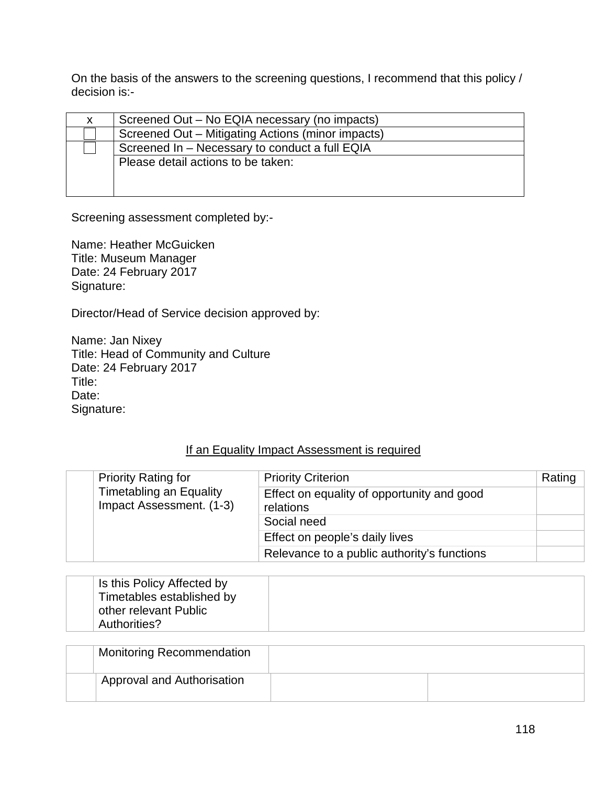On the basis of the answers to the screening questions, I recommend that this policy / decision is:-

| X. | Screened Out – No EQIA necessary (no impacts)     |
|----|---------------------------------------------------|
|    | Screened Out - Mitigating Actions (minor impacts) |
|    | Screened In - Necessary to conduct a full EQIA    |
|    | Please detail actions to be taken:                |
|    |                                                   |
|    |                                                   |

Screening assessment completed by:-

Name: Heather McGuicken Title: Museum Manager Date: 24 February 2017 Signature:

Director/Head of Service decision approved by:

Name: Jan Nixey Title: Head of Community and Culture Date: 24 February 2017 Title: Date: Signature:

#### If an Equality Impact Assessment is required

| <b>Priority Rating for</b>                                 | <b>Priority Criterion</b>                               | Rating |
|------------------------------------------------------------|---------------------------------------------------------|--------|
| <b>Timetabling an Equality</b><br>Impact Assessment. (1-3) | Effect on equality of opportunity and good<br>relations |        |
|                                                            | Social need                                             |        |
|                                                            | Effect on people's daily lives                          |        |
|                                                            | Relevance to a public authority's functions             |        |

| Is this Policy Affected by |  |
|----------------------------|--|
| Timetables established by  |  |
| other relevant Public      |  |
| Authorities?               |  |

| <b>Monitoring Recommendation</b>  |  |
|-----------------------------------|--|
| <b>Approval and Authorisation</b> |  |